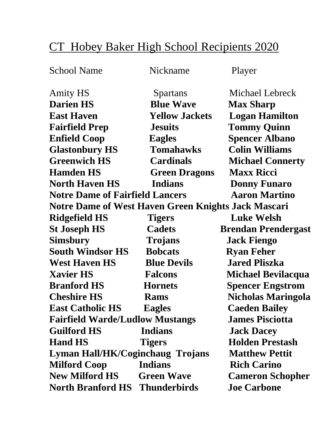## CT Hobey Baker High School Recipients 2020

School Name Nickname Player

Amity HS Spartans Michael Lebreck **Darien HS** Blue Wave Max Sharp **East Haven Yellow Jackets Logan Hamilton Fairfield Prep Jesuits Tommy Quinn Enfield Coop Eagles Spencer Albano Glastonbury HS Tomahawks Colin Williams Greenwich HS Cardinals Michael Connerty Hamden HS Green Dragons Maxx Ricci North Haven HS** Indians Donny Funaro **Notre Dame of Fairfield Lancers Aaron Martino Notre Dame of West Haven Green Knights Jack Mascari Ridgefield HS Tigers Luke Welsh St Joseph HS Cadets Brendan Prendergast Simsbury Trojans Jack Fiengo South Windsor HS Bobcats Ryan Feher West Haven HS Blue Devils Jared Pliszka Xavier HS Falcons Michael Bevilacqua Branford HS Hornets Spencer Engstrom Cheshire HS** Rams Nicholas Maringola **East Catholic HS Eagles Caeden Bailey Fairfield Warde/Ludlow Mustangs James Pisciotta Guilford HS Indians Jack Dacey Hand HS** Tigers Holden Prestash **Lyman Hall/HK/Coginchaug Trojans Matthew Pettit Milford Coop Indians Rich Carino New Milford HS Green Wave Cameron Schopher North Branford HS Thunderbirds Joe Carbone**